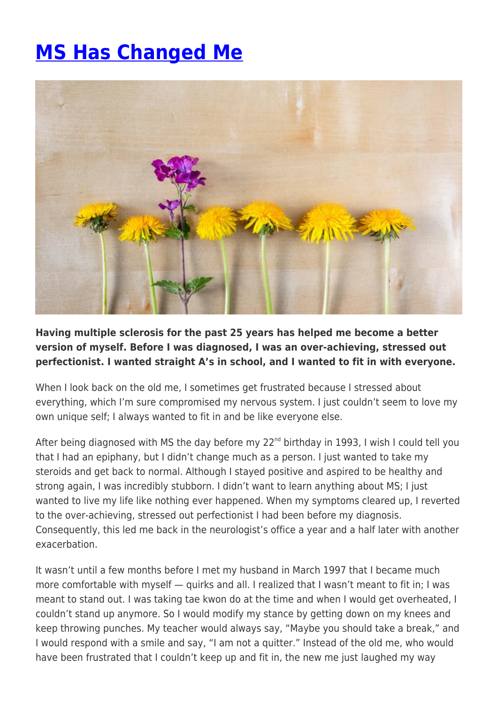## **[MS Has Changed Me](https://momentummagazineonline.com/blog/ms-has-changed-me/)**



**Having multiple sclerosis for the past 25 years has helped me become a better version of myself. Before I was diagnosed, I was an over-achieving, stressed out perfectionist. I wanted straight A's in school, and I wanted to fit in with everyone.**

When I look back on the old me, I sometimes get frustrated because I stressed about everything, which I'm sure compromised my nervous system. I just couldn't seem to love my own unique self; I always wanted to fit in and be like everyone else.

After being diagnosed with MS the day before my 22<sup>nd</sup> birthday in 1993, I wish I could tell you that I had an epiphany, but I didn't change much as a person. I just wanted to take my steroids and get back to normal. Although I stayed positive and aspired to be healthy and strong again, I was incredibly stubborn. I didn't want to learn anything about MS; I just wanted to live my life like nothing ever happened. When my symptoms cleared up, I reverted to the over-achieving, stressed out perfectionist I had been before my diagnosis. Consequently, this led me back in the neurologist's office a year and a half later with another exacerbation.

It wasn't until a few months before I met my husband in March 1997 that I became much more comfortable with myself — quirks and all. I realized that I wasn't meant to fit in; I was meant to stand out. I was taking tae kwon do at the time and when I would get overheated, I couldn't stand up anymore. So I would modify my stance by getting down on my knees and keep throwing punches. My teacher would always say, "Maybe you should take a break," and I would respond with a smile and say, "I am not a quitter." Instead of the old me, who would have been frustrated that I couldn't keep up and fit in, the new me just laughed my way